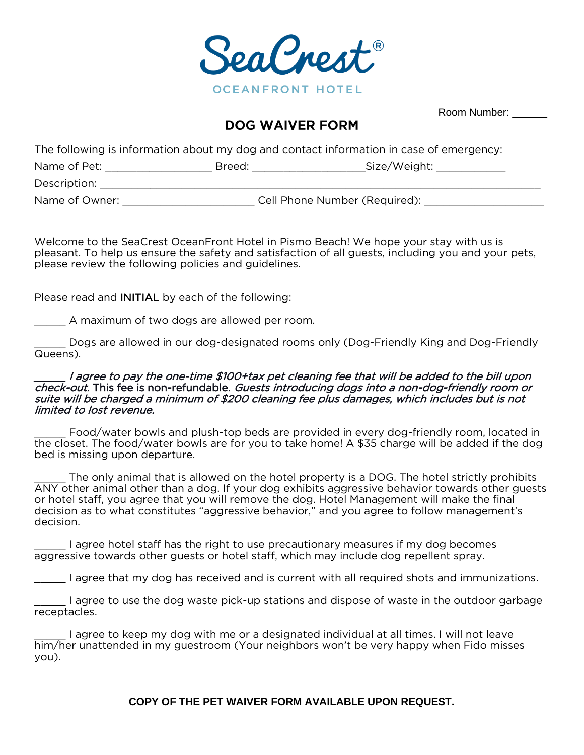

Room Number:

# **DOG WAIVER FORM**

The following is information about my dog and contact information in case of emergency:

| Name of Pet:   | Breed: | _Size/Weight:                 |  |
|----------------|--------|-------------------------------|--|
| Description:   |        |                               |  |
| Name of Owner: |        | Cell Phone Number (Required): |  |

Welcome to the SeaCrest OceanFront Hotel in Pismo Beach! We hope your stay with us is pleasant. To help us ensure the safety and satisfaction of all guests, including you and your pets, please review the following policies and guidelines.

Please read and INITIAL by each of the following:

\_\_\_\_\_ A maximum of two dogs are allowed per room.

\_\_\_\_\_ Dogs are allowed in our dog-designated rooms only (Dog-Friendly King and Dog-Friendly Queens).

#### \_\_\_\_\_ I agree to pay the one-time \$100+tax pet cleaning fee that will be added to the bill upon check-out. This fee is non-refundable. Guests introducing dogs into a non-dog-friendly room or suite will be charged a minimum of \$200 cleaning fee plus damages, which includes but is not limited to lost revenue.

\_\_\_\_\_ Food/water bowls and plush-top beds are provided in every dog-friendly room, located in the closet. The food/water bowls are for you to take home! A \$35 charge will be added if the dog bed is missing upon departure.

The only animal that is allowed on the hotel property is a DOG. The hotel strictly prohibits ANY other animal other than a dog. If your dog exhibits aggressive behavior towards other guests or hotel staff, you agree that you will remove the dog. Hotel Management will make the final decision as to what constitutes "aggressive behavior," and you agree to follow management's decision.

\_\_\_\_\_ I agree hotel staff has the right to use precautionary measures if my dog becomes aggressive towards other guests or hotel staff, which may include dog repellent spray.

\_\_\_\_\_ I agree that my dog has received and is current with all required shots and immunizations.

\_\_\_\_\_ I agree to use the dog waste pick-up stations and dispose of waste in the outdoor garbage receptacles.

\_\_\_\_\_ I agree to keep my dog with me or a designated individual at all times. I will not leave him/her unattended in my guestroom (Your neighbors won't be very happy when Fido misses you).

### **COPY OF THE PET WAIVER FORM AVAILABLE UPON REQUEST.**